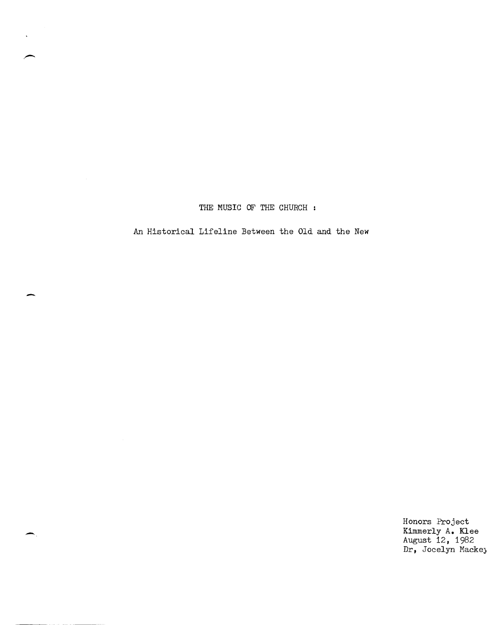THE MUSIC OF THE CHURCH:

An Historical Lifeline Between the Old and the *New* 

-

-

Honors Project Kimmerly A. Klee August 12, 1982 Dr, Jocelyn Macke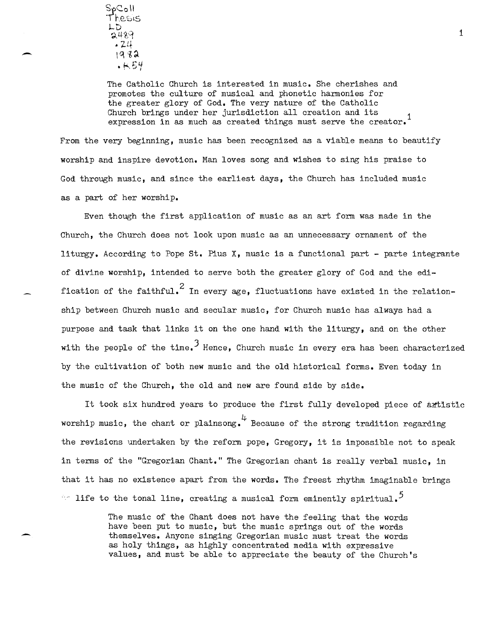-

-

The Catholic Church is interested in music. She cherishes and promotes the culture of musical and phonetic harmonies for the greater glory of God. The very nature of the Catholic Church brings under her jurisdiction all creation and its 1 expression in as much as created things must serve the creator.<sup>1</sup>

From the very beginning, music has been recognized as a viable means to beautify worship and inspire devotion. Man loves song and wishes to sing his praise to God through music, and since the earliest days, the Church has included music as a part of her worship.

Even though the first application of music as an art form was made in the Church, the Church does not look upon music as an unnecessary ornament of the liturgy. According to Pope st. Pius X, music is a functional part - parte integrante of divine worship, intended to serve both the greater glory of God and the edification of the faithful.<sup>2</sup> In every age, fluctuations have existed in the relationship between Church music and secular music, for Church music has always had a purpose and task that links it on the one hand with the liturgy, and on the other with the people of the time.<sup>3</sup> Hence, Church music in every era has been characterized by the cultivation of both new music and the old historical forms. Even today in the music of the Church, the old and new are found side by side.

It took six hundred years to produce the first fully developed piece of artistic worship music, the chant or plainsong.  $4$  Because of the strong tradition regarding the revisions undertaken by the reform pope, Gregory, it is impossible not to speak in terms of the "Gregorian Chant." The Gregorian chant is really verbal music, in that it has no existence apart from the words. The freest rhythm imaginable brings  $\sim$  life to the tonal line, creating a musical form eminently spiritual.<sup>5</sup>

> The music of the Chant does not have the feeling that the words have been put to music, but the music springs out of the words themselves. Anyone singing Gregorian music must treat the words as holy things, as highly concentrated media with expressive values, and must be able to appreciate the beauty of the Church's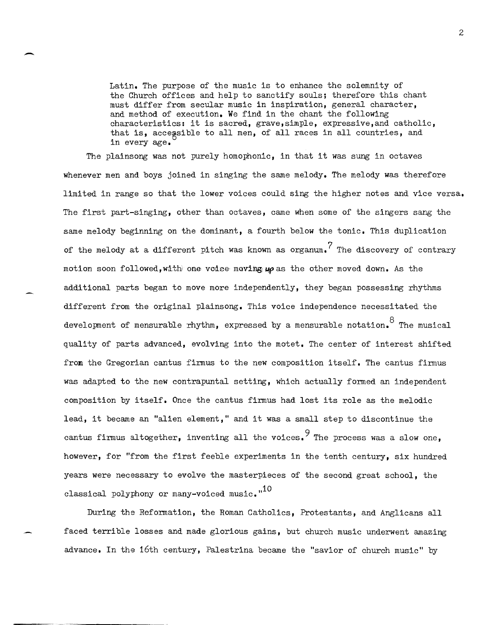Latin. The purpose of the music is to enhance the solemnity of the Church offices and help to sanctify souls; therefore this chant must differ from secular music in inspiration, general character, and method of execution. We find in the chant the following characteristics: it is sacred, grave, simple, expressive,and catholic, that is, accessible to all men, of all races in all countries, and in every age.

-

The plainsong was not purely homophonic, in that it was sung in octaves whenever men and boys joined in singing the same melody. The melody was therefore limited in range so that the lower voices could sing the higher notes and vice versa. The first part-singing, other than octaves, came when some of the singers sang the same melody beginning on the dominant, a fourth below the tonic. This duplication of the melody at a different pitch was known as organum.<sup>7</sup> The discovery of contrary motion soon followed. with one voice maving  $\mu \rho$  as the other moved down. As the additional parts began to move more independently, they began possessing rhythms different from the original plainsong. This voice independence necessitated the development of mensurable rhythm, expressed by a mensurable notation.  $8^{\circ}$  The musical quality of parts advanced, evolving into the motet. The center of interest shifted from the Gregorian cantus firmus to the new composition itself. The cantus firmus was adapted to the new contrapuntal setting, which actually formed an independent composition by itself. Once the cantus firmus had lost its role as the melodic lead, it became an "alien element," and it was a small step to discontinue the cantus firmus altogether, inventing all the voices. The process was a slow one. however, for "from the first feeble experiments in the tenth century, six hundred years were necessary to evolve the masterpieces of the second great school, the classical polyphony or many-voiced music."<sup>10</sup>

During the Reformation, the Roman Catholics, Protestants, and Anglicans all faced terrible losses and made glorious gains, but church music underwent amazing advance. In the 16th century, Palestrina became the "savior of church music" by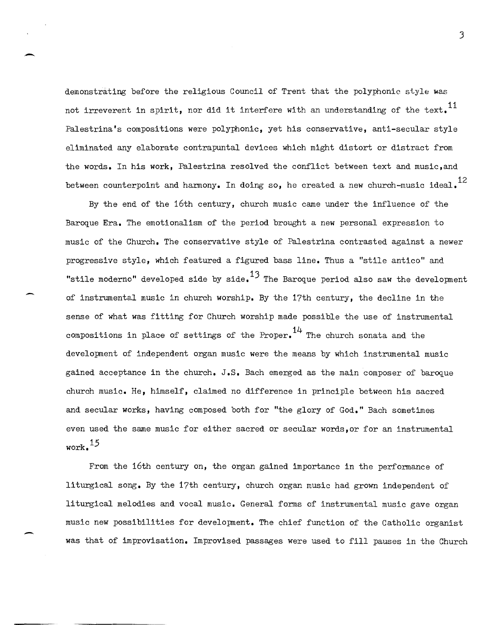demonstrating before the religious Council of Trent that the polyphonic style was not irreverent in spirit, nor did it interfere with an understanding of the text.<sup>11</sup> Palestrina's compositions were polyphonic, yet his conservative, anti-secular style eliminated any elaborate contrapuntal devices which might distort or distract from the words. In his work, Palestrina resolved the conflict between text and music,and between counterpoint and harmony. In doing so, he created a new church-music ideal.<sup>12</sup>

-

-

By the end of the 16th century, church music came under the influence of the Baroque Era. The emotionalism of the period brought a new personal expression to music of the Church. The conservative style of Palestrina contrasted against a newer progressive style, which featured a figured bass line. Thus a "stile antico" and "stile moderno" developed side by side. $^{13}$  The Baroque period also saw the development of instrumental music in church worship. By the 17th century, the decline in the sense of what was fitting for Church worship made possible the use of instrumental compositions in place of settings of the Proper.  $14$  The church sonata and the development of independent organ music were the means by which instrumental music gained acceptance in the church. J.S. Bach emerged as the main composer of baroque church music. He, himself, claimed no difference in principle between his sacred and secular works, having composed both for "the glory of God." Bach sometimes even used the same music for either sacred or secular words,or for an instrumental work. 15

From the 16th century on, the organ gained importance in the performance of liturgical song. By the 17th century, church organ music had grown independent of liturgical melodies and vocal music. General forms of instrumental music gave organ music new possibilities for development. The chief function of the Catholic organist was that of improvisation. Improvised passages were used to fill pauses in the Church

]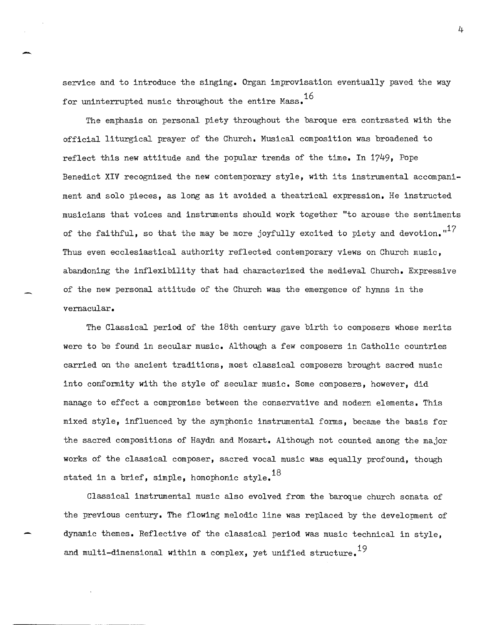service and to introduce the singing. Organ improvisation eventually paved the way for uninterrupted music throughout the entire Mass.<sup>16</sup>

The emphasis on personal piety throughout the baroque era contrasted with the official liturgical prayer of the Church. Musical composition was broadened to reflect this *new* attitude and the popular trends of the time. In 1?49, Pope Benedict XIV recognized the *new* contemporary style, with its instrumental accompaniment and solo pieces, as long as it avoided a theatrical expression. He instructed musicians that voices and instruments should work together "to arouse the sentiments of the faithful, so that the may be more joyfully excited to piety and devotion. $1^1$ ? Thus even ecclesiastical authority reflected contemporary views on Church music, abandoning the inflexibility that had characterized the medieval Church. Expressive of the *new* personal attitude of the Church was the emergence of hymns in the vernacular.

The Classical period of the 18th century gave birth to composers whose merits were to be found in secular music. Although a *few* composers in Catholic countries carried on the ancient traditions, most classical composers brought sacred music into conformity with the style of secular music. Some composers, however, did manage to effect a compromise between the conservative and modern elements. This mixed style, influenced by the symphonic instrumental forms, became the basis for the sacred compositions of Haydn and Mozart. Although not counted among the major works of the classical composer, sacred vocal music was equally profound, though stated in a brief, simple, homophonic style.<sup>18</sup>

Classical instrumental music also evolved from the baroque church sonata of the previous century. The flowing melodic line was replaced by the development of dynamic themes. Reflective of the classical period was music technical in style, and multi-dimensional within a complex, yet unified structure.<sup>19</sup>

4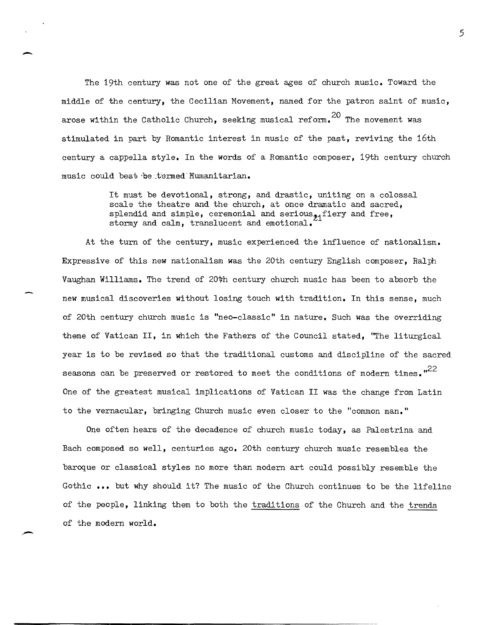The 19th century was not one of the great ages of church music. Toward the middle of the century, the Cecilian Movement, named for the patron saint of music, arose within the Catholic Church, seeking musical reform.  $^{20}$  The movement was stimulated in part by Romantic interest in music of the past, reviving the 16th century a cappella style. In the words of a Romantic composer, 19th century church music could best be termed Humanitarian.

-

It must be devotional, strong, and drastic, uniting on a colossal scale the theatre and the church, at once dramatic and sacred, splendid and simple, ceremonial and serious $_{21}$ fiery and free, stormy and calm, translucent and emotional.

At the turn of the century, music experienced the influence of nationalism. Expressive of this new nationalism was the 20th century English composer, Ralph Vaughan Williams. The trend of 20th century church music has been to absorb the new musical discoveries without losing touch with tradition. In this sense, much of 20th century church music is "neo-classic" in nature. Such was the overriding theme of Vatican **II,** in which the Fathers of the Council stated, "The liturgical year is to be revised so that the traditional customs and discipline of the sacred seasons can be preserved or restored to meet the conditions of modern times.  $n^2$ One of the greatest musical implications of Vatican II was the change from Latin to the vernacular, bringing Church music even closer to the "common man."

One often hears of the decadence of church music today, as Palestrina and Bach composed so well, centuries ago. 20th century church music resembles the baroque or classical styles no more than modern art could possibly resemble the Gothic ••• but why should it? The music of the Church continues to be the lifeline of the people, linking them to both the traditions of the Church and the trends of the modern world.

5